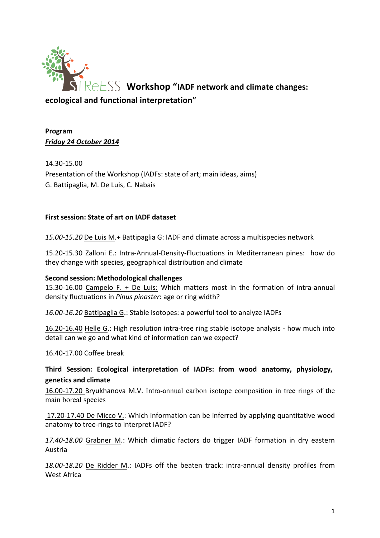

# **Program** *Friday'24'October'2014*

14.30-15.00 Presentation of the Workshop (IADFs: state of art; main ideas, aims) G. Battipaglia, M. De Luis, C. Nabais

## **First session: State of art on IADF dataset**

15.00-15.20 De Luis M.+ Battipaglia G: IADF and climate across a multispecies network

15.20-15.30 Zalloni E.: Intra-Annual-Density-Fluctuations in Mediterranean pines: how do they change with species, geographical distribution and climate

### **Second session: Methodological challenges**

15.30-16.00 Campelo F. + De Luis: Which matters most in the formation of intra-annual density fluctuations in *Pinus pinaster*: age or ring width?

16.00-16.20 Battipaglia G.: Stable isotopes: a powerful tool to analyze IADFs

16.20-16.40 Helle G.: High resolution intra-tree ring stable isotope analysis - how much into detail can we go and what kind of information can we expect?

16.40-17.00 Coffee break

Third Session: Ecological interpretation of IADFs: from wood anatomy, physiology, **genetics!and!climate!**

16.00-17.20 Bryukhanova M.V. Intra-annual carbon isotope composition in tree rings of the main boreal species

17.20-17.40 De Micco V.: Which information can be inferred by applying quantitative wood anatomy to tree-rings to interpret IADF?

17.40-18.00 Grabner M.: Which climatic factors do trigger IADF formation in dry eastern Austria

18.00-18.20 De Ridder M.: IADFs off the beaten track: intra-annual density profiles from West Africa